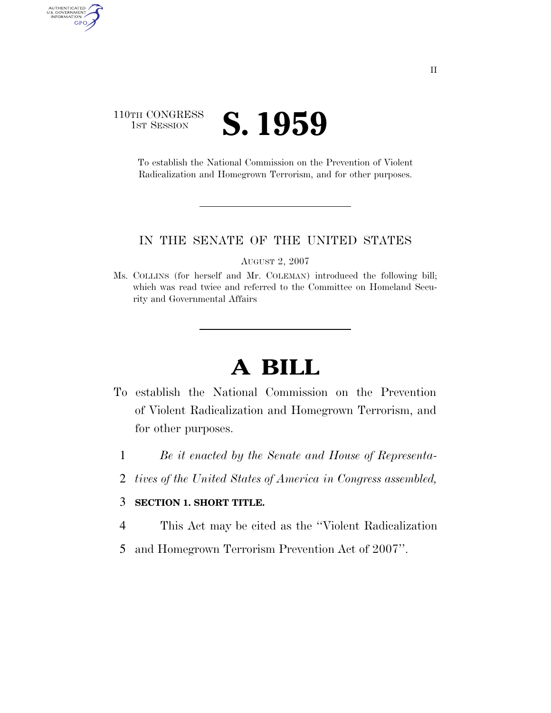### 110TH CONGRESS **IST SESSION S. 1959**

AUTHENTICATED<br>U.S. GOVERNMENT<br>INFORMATION

GPO

To establish the National Commission on the Prevention of Violent Radicalization and Homegrown Terrorism, and for other purposes.

#### IN THE SENATE OF THE UNITED STATES

AUGUST 2, 2007

Ms. COLLINS (for herself and Mr. COLEMAN) introduced the following bill; which was read twice and referred to the Committee on Homeland Security and Governmental Affairs

# **A BILL**

- To establish the National Commission on the Prevention of Violent Radicalization and Homegrown Terrorism, and for other purposes.
	- 1 *Be it enacted by the Senate and House of Representa-*
	- 2 *tives of the United States of America in Congress assembled,*

#### 3 **SECTION 1. SHORT TITLE.**

- 4 This Act may be cited as the ''Violent Radicalization
- 5 and Homegrown Terrorism Prevention Act of 2007''.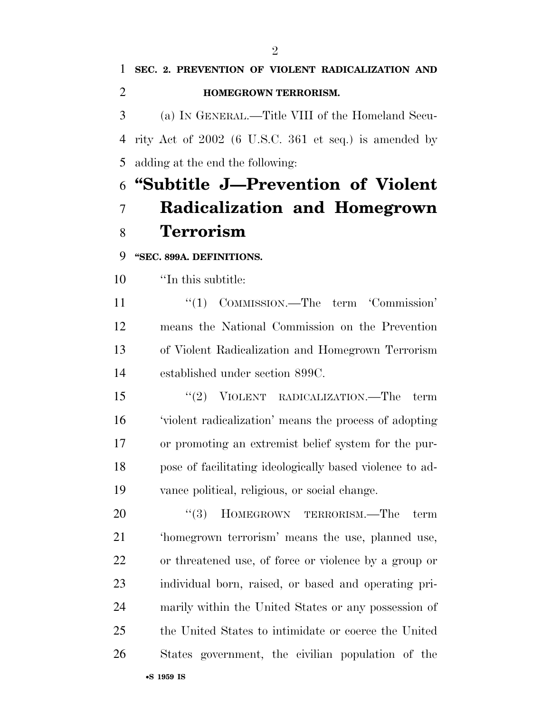### **SEC. 2. PREVENTION OF VIOLENT RADICALIZATION AND HOMEGROWN TERRORISM.**  (a) IN GENERAL.—Title VIII of the Homeland Secu- rity Act of 2002 (6 U.S.C. 361 et seq.) is amended by adding at the end the following:

## **''Subtitle J—Prevention of Violent Radicalization and Homegrown Terrorism**

**''SEC. 899A. DEFINITIONS.** 

''In this subtitle:

 ''(1) COMMISSION.—The term 'Commission' means the National Commission on the Prevention of Violent Radicalization and Homegrown Terrorism established under section 899C.

 ''(2) VIOLENT RADICALIZATION.—The term 'violent radicalization' means the process of adopting or promoting an extremist belief system for the pur- pose of facilitating ideologically based violence to ad-vance political, religious, or social change.

20 "(3) HOMEGROWN TERRORISM.—The term 'homegrown terrorism' means the use, planned use, or threatened use, of force or violence by a group or individual born, raised, or based and operating pri- marily within the United States or any possession of the United States to intimidate or coerce the United States government, the civilian population of the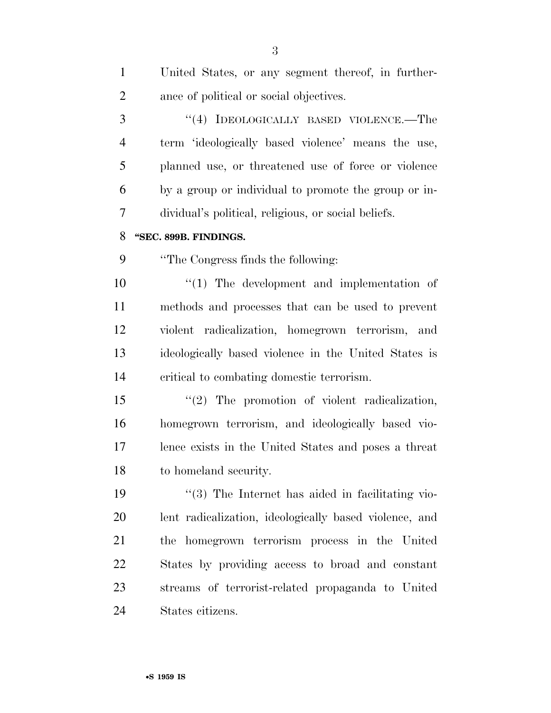| $\mathbf{1}$   | United States, or any segment thereof, in further-     |
|----------------|--------------------------------------------------------|
| $\overline{2}$ | ance of political or social objectives.                |
| 3              | "(4) IDEOLOGICALLY BASED VIOLENCE.—The                 |
| $\overline{4}$ | term 'ideologically based violence' means the use,     |
| 5              | planned use, or threatened use of force or violence    |
| 6              | by a group or individual to promote the group or in-   |
| 7              | dividual's political, religious, or social beliefs.    |
| 8              | "SEC. 899B. FINDINGS.                                  |
| 9              | "The Congress finds the following:                     |
| 10             | $\lq(1)$ The development and implementation of         |
| 11             | methods and processes that can be used to prevent      |
| 12             | violent radicalization, homegrown terrorism, and       |
| 13             | ideologically based violence in the United States is   |
| 14             | critical to combating domestic terrorism.              |
| 15             | $\lq(2)$ The promotion of violent radicalization,      |
| 16             | homegrown terrorism, and ideologically based vio-      |
| 17             | lence exists in the United States and poses a threat   |
| 18             | to homeland security.                                  |
| 19             | "(3) The Internet has aided in facilitating vio-       |
| 20             | lent radicalization, ideologically based violence, and |
| 21             | the homegrown terrorism process in the United          |
| 22             | States by providing access to broad and constant       |
| 23             | streams of terrorist-related propaganda to United      |
| 24             | States citizens.                                       |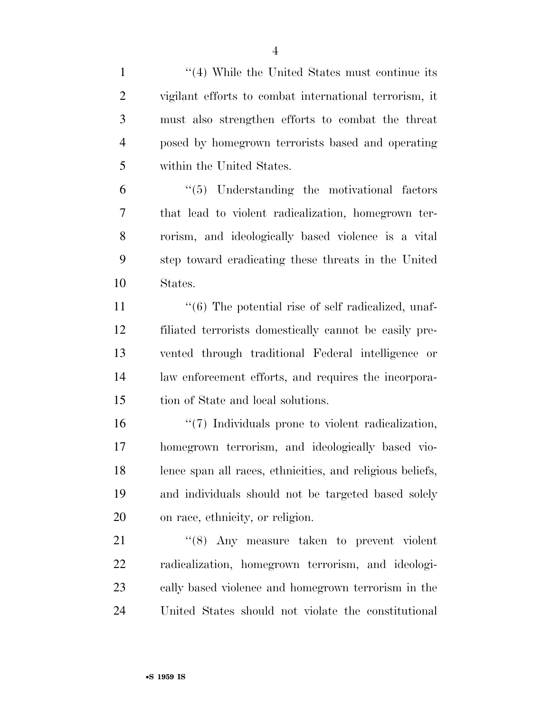| $\mathbf{1}$   | $\cdot$ (4) While the United States must continue its     |
|----------------|-----------------------------------------------------------|
| $\overline{2}$ | vigilant efforts to combat international terrorism, it    |
| 3              | must also strengthen efforts to combat the threat         |
| $\overline{4}$ | posed by homegrown terrorists based and operating         |
| 5              | within the United States.                                 |
| 6              | $\lq(5)$ Understanding the motivational factors           |
| 7              | that lead to violent radicalization, homegrown ter-       |
| 8              | rorism, and ideologically based violence is a vital       |
| 9              | step toward eradicating these threats in the United       |
| 10             | States.                                                   |
| 11             | "(6) The potential rise of self radicalized, unaf-        |
| 12             | filiated terrorists domestically cannot be easily pre-    |
| 13             | vented through traditional Federal intelligence or        |
| 14             | law enforcement efforts, and requires the incorpora-      |
| 15             | tion of State and local solutions.                        |
| 16             | "(7) Individuals prone to violent radicalization,         |
| 17             | homegrown terrorism, and ideologically based vio-         |
| 18             | lence span all races, ethnicities, and religious beliefs, |
| 19             | and individuals should not be targeted based solely       |
| <b>20</b>      | on race, ethnicity, or religion.                          |
| 21             | $\cdot$ (8) Any measure taken to prevent violent          |
| 22             | radicalization, homegrown terrorism, and ideologi-        |
| 23             | cally based violence and homegrown terrorism in the       |
| 24             | United States should not violate the constitutional       |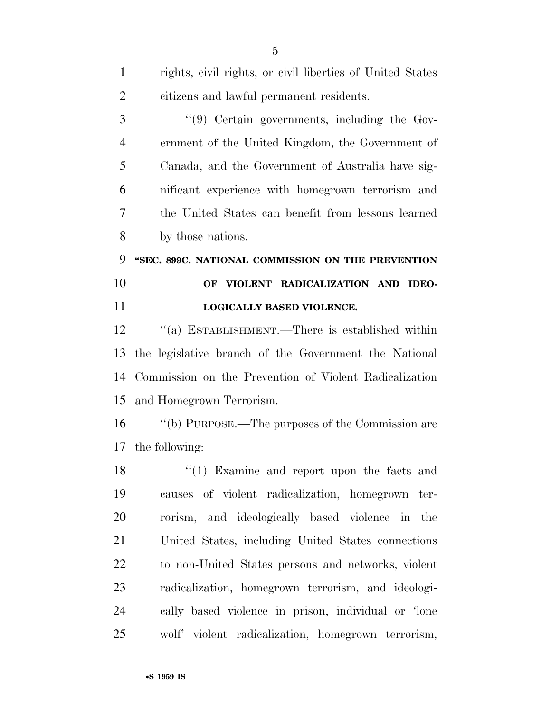| $\mathbf{1}$   | rights, civil rights, or civil liberties of United States |
|----------------|-----------------------------------------------------------|
| $\overline{2}$ | citizens and lawful permanent residents.                  |
| 3              | "(9) Certain governments, including the Gov-              |
| $\overline{4}$ | ernment of the United Kingdom, the Government of          |
| 5              | Canada, and the Government of Australia have sig-         |
| 6              | nificant experience with homegrown terrorism and          |
| 7              | the United States can benefit from lessons learned        |
| 8              | by those nations.                                         |
| 9              | "SEC. 899C. NATIONAL COMMISSION ON THE PREVENTION         |
| 10             | OF VIOLENT RADICALIZATION AND IDEO-                       |
| 11             | LOGICALLY BASED VIOLENCE.                                 |
| 12             | "(a) ESTABLISHMENT.—There is established within           |
| 13             | the legislative branch of the Government the National     |
| 14             | Commission on the Prevention of Violent Radicalization    |
| 15             | and Homegrown Terrorism.                                  |
| 16             | "(b) PURPOSE.—The purposes of the Commission are          |
| 17             | the following:                                            |
| 18             | $(1)$ Examine and report upon the facts and               |
| 19             | causes of violent radicalization, homegrown ter-          |
| 20             | rorism, and ideologically based violence in the           |
| 21             | United States, including United States connections        |
| 22             | to non-United States persons and networks, violent        |
| 23             | radicalization, homegrown terrorism, and ideologi-        |
| 24             | cally based violence in prison, individual or 'lone       |
| 25             | wolf' violent radicalization, homegrown terrorism,        |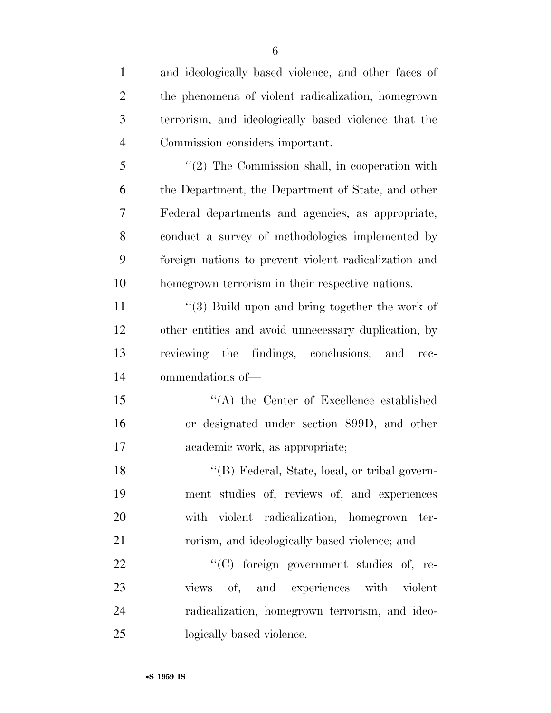| $\mathbf{1}$   | and ideologically based violence, and other faces of  |
|----------------|-------------------------------------------------------|
| $\overline{2}$ | the phenomena of violent radicalization, homegrown    |
| 3              | terrorism, and ideologically based violence that the  |
| $\overline{4}$ | Commission considers important.                       |
| 5              | $"(2)$ The Commission shall, in cooperation with      |
| 6              | the Department, the Department of State, and other    |
| 7              | Federal departments and agencies, as appropriate,     |
| 8              | conduct a survey of methodologies implemented by      |
| 9              | foreign nations to prevent violent radicalization and |
| 10             | homegrown terrorism in their respective nations.      |
| 11             | $\cdot$ (3) Build upon and bring together the work of |
| 12             | other entities and avoid unnecessary duplication, by  |
| 13             | reviewing the findings, conclusions, and rec-         |
| 14             | ommendations of-                                      |
| 15             | $\lq\lq$ the Center of Excellence established         |
| 16             | or designated under section 899D, and other           |
| 17             | academic work, as appropriate;                        |
| 18             | "(B) Federal, State, local, or tribal govern-         |
| 19             | ment studies of, reviews of, and experiences          |
| 20             | with violent radicalization, homegrown ter-           |
| 21             | rorism, and ideologically based violence; and         |
| 22             | "(C) foreign government studies of, re-               |
| 23             | views of, and experiences with violent                |
| 24             | radicalization, homegrown terrorism, and ideo-        |
| 25             | logically based violence.                             |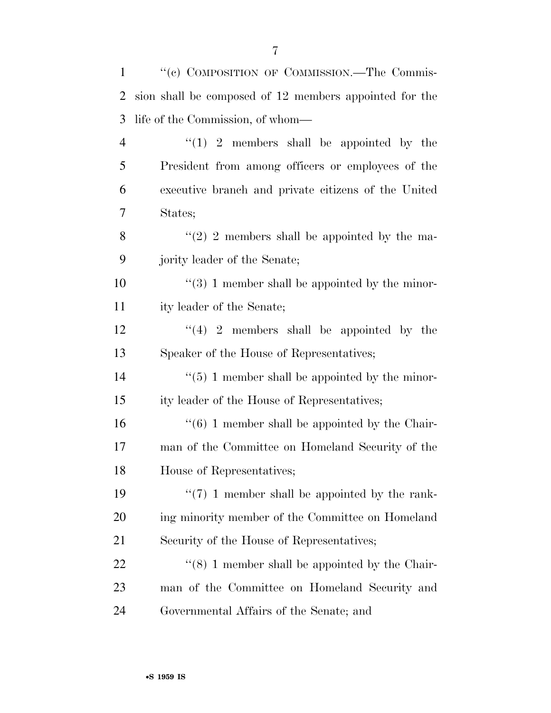| $\mathbf{1}$   | "(c) COMPOSITION OF COMMISSION.—The Commis-                     |
|----------------|-----------------------------------------------------------------|
| 2              | sion shall be composed of 12 members appointed for the          |
| 3              | life of the Commission, of whom—                                |
| $\overline{4}$ | $\lq(1)$ 2 members shall be appointed by the                    |
| 5              | President from among officers or employees of the               |
| 6              | executive branch and private citizens of the United             |
| 7              | States;                                                         |
| 8              | $\lq(2)$ 2 members shall be appointed by the ma-                |
| 9              | jority leader of the Senate;                                    |
| 10             | $\lq(3)$ 1 member shall be appointed by the minor-              |
| 11             | ity leader of the Senate;                                       |
| 12             | $\lq(4)$ 2 members shall be appointed by the                    |
| 13             | Speaker of the House of Representatives;                        |
| 14             | $\lq(5)$ 1 member shall be appointed by the minor-              |
| 15             | ity leader of the House of Representatives;                     |
| 16             | $\cdot\cdot\cdot$ (6) 1 member shall be appointed by the Chair- |
| 17             | man of the Committee on Homeland Security of the                |
| 18             | House of Representatives;                                       |
| 19             | $\lq(7)$ 1 member shall be appointed by the rank-               |
| 20             | ing minority member of the Committee on Homeland                |
| 21             | Security of the House of Representatives;                       |
| 22             | $\cdot\cdot$ (8) 1 member shall be appointed by the Chair-      |
| 23             | man of the Committee on Homeland Security and                   |
| 24             | Governmental Affairs of the Senate; and                         |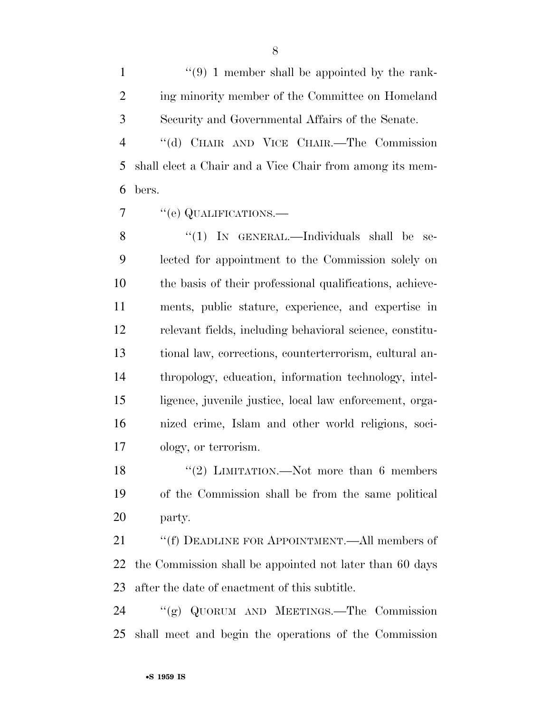1  $(9)$  1 member shall be appointed by the rank- ing minority member of the Committee on Homeland Security and Governmental Affairs of the Senate.

 ''(d) CHAIR AND VICE CHAIR.—The Commission shall elect a Chair and a Vice Chair from among its mem-bers.

7 "(e) QUALIFICATIONS.—

8 "(1) IN GENERAL.—Individuals shall be se- lected for appointment to the Commission solely on the basis of their professional qualifications, achieve- ments, public stature, experience, and expertise in relevant fields, including behavioral science, constitu- tional law, corrections, counterterrorism, cultural an- thropology, education, information technology, intel- ligence, juvenile justice, local law enforcement, orga- nized crime, Islam and other world religions, soci-ology, or terrorism.

18 ''(2) LIMITATION.—Not more than 6 members of the Commission shall be from the same political party.

21 ""(f) DEADLINE FOR APPOINTMENT.—All members of the Commission shall be appointed not later than 60 days after the date of enactment of this subtitle.

 ''(g) QUORUM AND MEETINGS.—The Commission shall meet and begin the operations of the Commission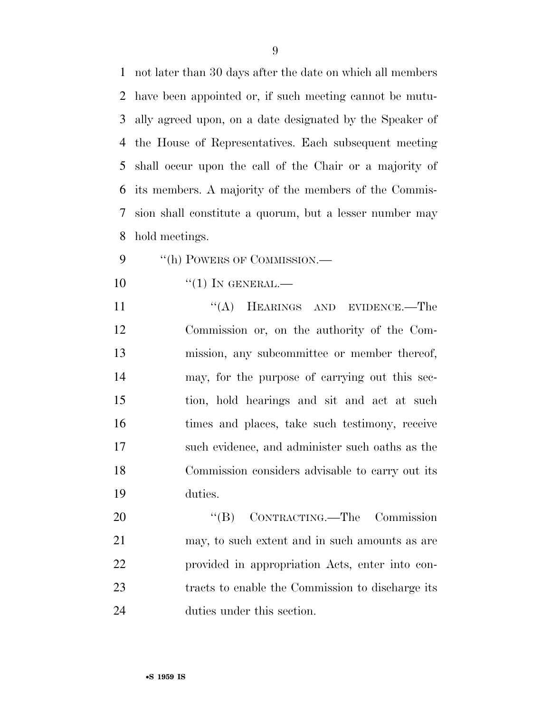not later than 30 days after the date on which all members have been appointed or, if such meeting cannot be mutu- ally agreed upon, on a date designated by the Speaker of the House of Representatives. Each subsequent meeting shall occur upon the call of the Chair or a majority of its members. A majority of the members of the Commis- sion shall constitute a quorum, but a lesser number may hold meetings.

- 9 "(h) POWERS OF COMMISSION.—
- $\frac{4}{1}$  In GENERAL.

11 "(A) HEARINGS AND EVIDENCE.—The Commission or, on the authority of the Com- mission, any subcommittee or member thereof, may, for the purpose of carrying out this sec- tion, hold hearings and sit and act at such times and places, take such testimony, receive such evidence, and administer such oaths as the Commission considers advisable to carry out its duties.

20 "'(B) CONTRACTING.—The Commission may, to such extent and in such amounts as are provided in appropriation Acts, enter into con- tracts to enable the Commission to discharge its duties under this section.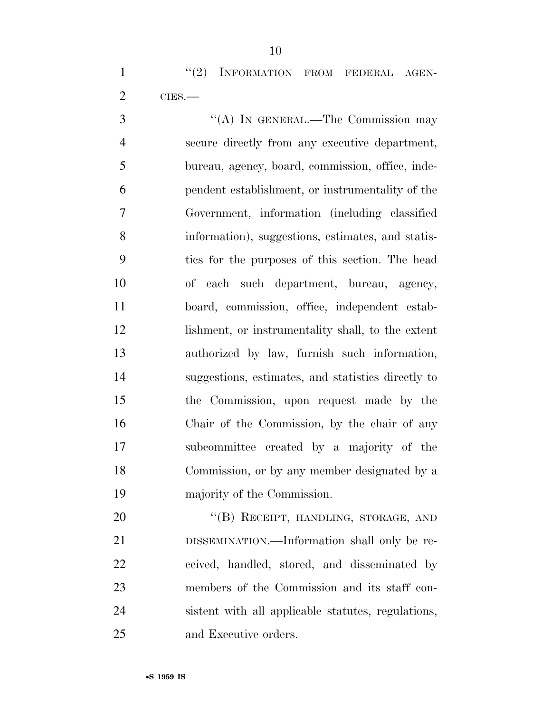1 "(2) INFORMATION FROM FEDERAL AGEN-CIES.—

 ''(A) IN GENERAL.—The Commission may secure directly from any executive department, bureau, agency, board, commission, office, inde- pendent establishment, or instrumentality of the Government, information (including classified information), suggestions, estimates, and statis- tics for the purposes of this section. The head of each such department, bureau, agency, board, commission, office, independent estab- lishment, or instrumentality shall, to the extent authorized by law, furnish such information, suggestions, estimates, and statistics directly to the Commission, upon request made by the Chair of the Commission, by the chair of any subcommittee created by a majority of the Commission, or by any member designated by a majority of the Commission.

20 "(B) RECEIPT, HANDLING, STORAGE, AND DISSEMINATION.—Information shall only be re- ceived, handled, stored, and disseminated by members of the Commission and its staff con- sistent with all applicable statutes, regulations, and Executive orders.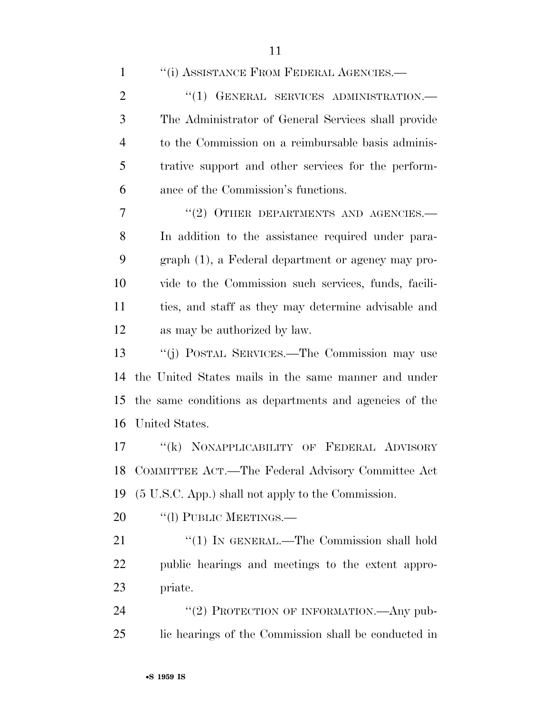1 "(i) ASSISTANCE FROM FEDERAL AGENCIES.— 2 "(1) GENERAL SERVICES ADMINISTRATION.— The Administrator of General Services shall provide to the Commission on a reimbursable basis adminis- trative support and other services for the perform- ance of the Commission's functions. 7 "(2) OTHER DEPARTMENTS AND AGENCIES.—

 In addition to the assistance required under para- graph (1), a Federal department or agency may pro- vide to the Commission such services, funds, facili- ties, and staff as they may determine advisable and as may be authorized by law.

 ''(j) POSTAL SERVICES.—The Commission may use the United States mails in the same manner and under the same conditions as departments and agencies of the United States.

17 "(k) NONAPPLICABILITY OF FEDERAL ADVISORY COMMITTEE ACT.—The Federal Advisory Committee Act (5 U.S.C. App.) shall not apply to the Commission.

20 "(1) PUBLIC MEETINGS.—

21 "(1) IN GENERAL.—The Commission shall hold public hearings and meetings to the extent appro-priate.

24 "(2) PROTECTION OF INFORMATION.—Any pub-lic hearings of the Commission shall be conducted in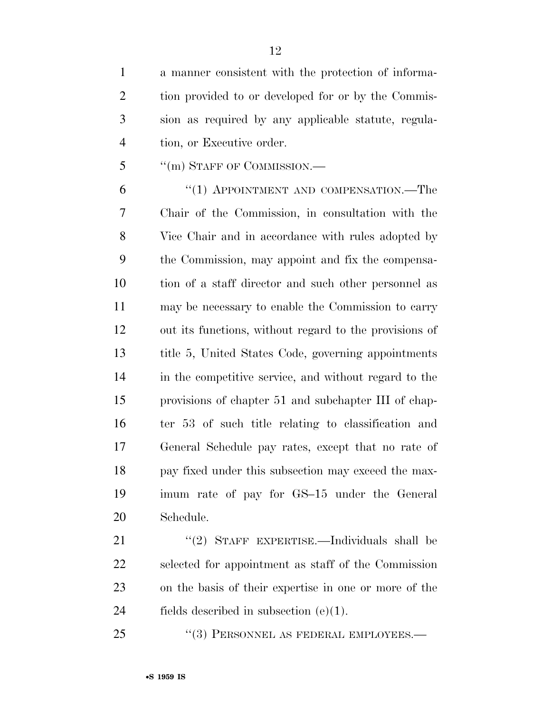a manner consistent with the protection of informa- tion provided to or developed for or by the Commis- sion as required by any applicable statute, regula-tion, or Executive order.

5 "(m) STAFF OF COMMISSION.—

6 "(1) APPOINTMENT AND COMPENSATION.—The Chair of the Commission, in consultation with the Vice Chair and in accordance with rules adopted by the Commission, may appoint and fix the compensa- tion of a staff director and such other personnel as may be necessary to enable the Commission to carry out its functions, without regard to the provisions of title 5, United States Code, governing appointments in the competitive service, and without regard to the provisions of chapter 51 and subchapter III of chap- ter 53 of such title relating to classification and General Schedule pay rates, except that no rate of pay fixed under this subsection may exceed the max- imum rate of pay for GS–15 under the General Schedule.

21 "(2) STAFF EXPERTISE.—Individuals shall be selected for appointment as staff of the Commission on the basis of their expertise in one or more of the 24 fields described in subsection  $(e)(1)$ .

25 "(3) PERSONNEL AS FEDERAL EMPLOYEES.—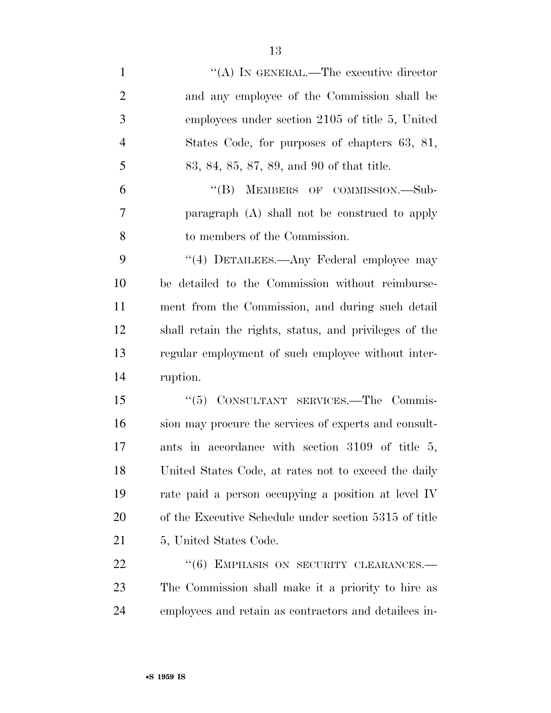- 1  $\langle A \rangle$  In GENERAL.—The executive director and any employee of the Commission shall be employees under section 2105 of title 5, United States Code, for purposes of chapters 63, 81, 83, 84, 85, 87, 89, and 90 of that title. 6 "(B) MEMBERS OF COMMISSION.—Sub- paragraph (A) shall not be construed to apply to members of the Commission. 9 "(4) DETAILEES.—Any Federal employee may be detailed to the Commission without reimburse- ment from the Commission, and during such detail shall retain the rights, status, and privileges of the regular employment of such employee without inter- ruption. ''(5) CONSULTANT SERVICES.—The Commis- sion may procure the services of experts and consult- ants in accordance with section 3109 of title 5, United States Code, at rates not to exceed the daily rate paid a person occupying a position at level IV of the Executive Schedule under section 5315 of title 21 5, United States Code. 22 "(6) EMPHASIS ON SECURITY CLEARANCES.— The Commission shall make it a priority to hire as
- employees and retain as contractors and detailees in-

•**S 1959 IS**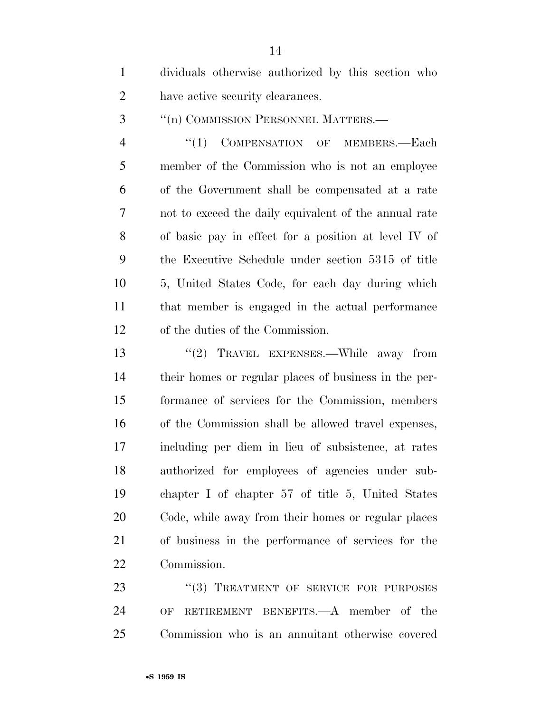dividuals otherwise authorized by this section who have active security clearances.

3 <sup>"</sup>(n) COMMISSION PERSONNEL MATTERS.—

4 "(1) COMPENSATION OF MEMBERS.—Each member of the Commission who is not an employee of the Government shall be compensated at a rate not to exceed the daily equivalent of the annual rate of basic pay in effect for a position at level IV of the Executive Schedule under section 5315 of title 5, United States Code, for each day during which that member is engaged in the actual performance of the duties of the Commission.

13 "(2) TRAVEL EXPENSES.—While away from their homes or regular places of business in the per- formance of services for the Commission, members of the Commission shall be allowed travel expenses, including per diem in lieu of subsistence, at rates authorized for employees of agencies under sub- chapter I of chapter 57 of title 5, United States Code, while away from their homes or regular places of business in the performance of services for the Commission.

23 "(3) TREATMENT OF SERVICE FOR PURPOSES OF RETIREMENT BENEFITS.—A member of the Commission who is an annuitant otherwise covered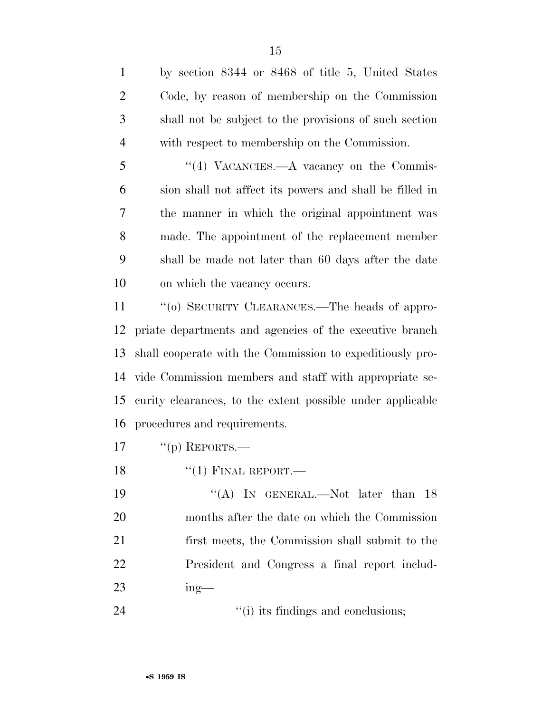by section 8344 or 8468 of title 5, United States Code, by reason of membership on the Commission shall not be subject to the provisions of such section with respect to membership on the Commission. 5 "(4) VACANCIES.—A vacancy on the Commis- sion shall not affect its powers and shall be filled in the manner in which the original appointment was made. The appointment of the replacement member shall be made not later than 60 days after the date on which the vacancy occurs. 11 "(0) SECURITY CLEARANCES.—The heads of appro- priate departments and agencies of the executive branch shall cooperate with the Commission to expeditiously pro- vide Commission members and staff with appropriate se- curity clearances, to the extent possible under applicable procedures and requirements.  $"({\rm p})$  REPORTS.— 18 "(1) FINAL REPORT.— 19 "(A) In GENERAL.—Not later than 18 months after the date on which the Commission first meets, the Commission shall submit to the President and Congress a final report includ-

- ing—
- 24 ''(i) its findings and conclusions;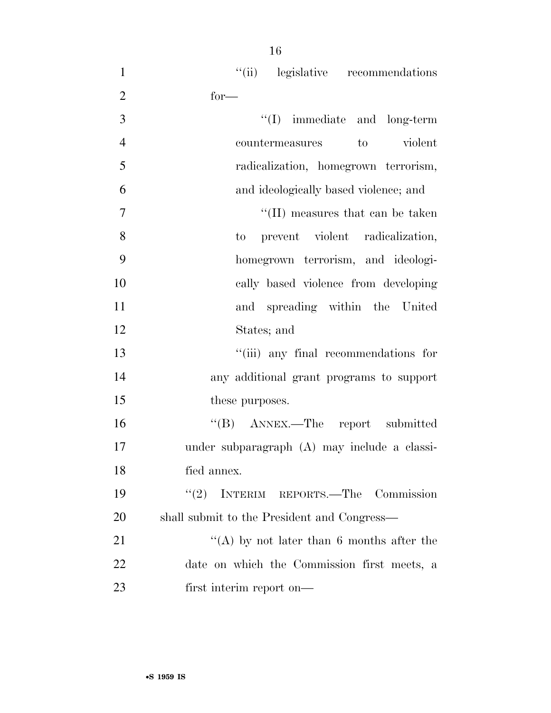| $\mathbf{1}$   | "(ii) legislative recommendations            |
|----------------|----------------------------------------------|
| $\overline{2}$ | $for-$                                       |
| 3              | $\lq\lq$ (I) immediate and long-term         |
| $\overline{4}$ | violent<br>to<br>countermeasures             |
| 5              | radicalization, homegrown terrorism,         |
| 6              | and ideologically based violence; and        |
| $\overline{7}$ | $\lq\lq$ (II) measures that can be taken     |
| 8              | to prevent violent radicalization,           |
| 9              | homegrown terrorism, and ideologi-           |
| 10             | cally based violence from developing         |
| 11             | and spreading within the United              |
| 12             | States; and                                  |
| 13             | "(iii) any final recommendations for         |
| 14             | any additional grant programs to support     |
| 15             | these purposes.                              |
| 16             | "(B) ANNEX.—The report submitted             |
| 17             | under subparagraph (A) may include a classi- |
| 18             | fied annex.                                  |
| 19             | (2)<br>INTERIM REPORTS.—The Commission       |
| 20             | shall submit to the President and Congress—  |
| 21             | "(A) by not later than 6 months after the    |
| 22             | date on which the Commission first meets, a  |
| 23             | first interim report on—                     |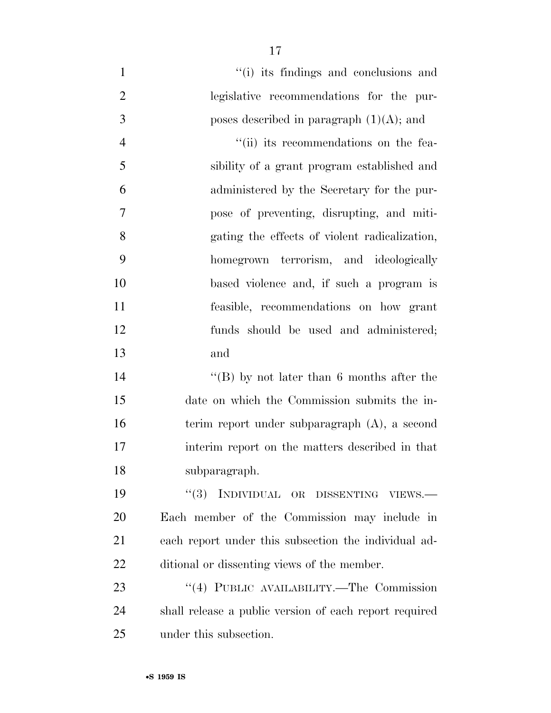$''(i)$  its findings and conclusions and legislative recommendations for the pur-3 boses described in paragraph  $(1)(A)$ ; and 4 ''(ii) its recommendations on the fea- sibility of a grant program established and administered by the Secretary for the pur- pose of preventing, disrupting, and miti- gating the effects of violent radicalization, homegrown terrorism, and ideologically based violence and, if such a program is feasible, recommendations on how grant funds should be used and administered; and

 ''(B) by not later than 6 months after the date on which the Commission submits the in- terim report under subparagraph (A), a second interim report on the matters described in that subparagraph.

19 "(3) INDIVIDUAL OR DISSENTING VIEWS.— Each member of the Commission may include in each report under this subsection the individual ad-ditional or dissenting views of the member.

23 "(4) PUBLIC AVAILABILITY.—The Commission shall release a public version of each report required under this subsection.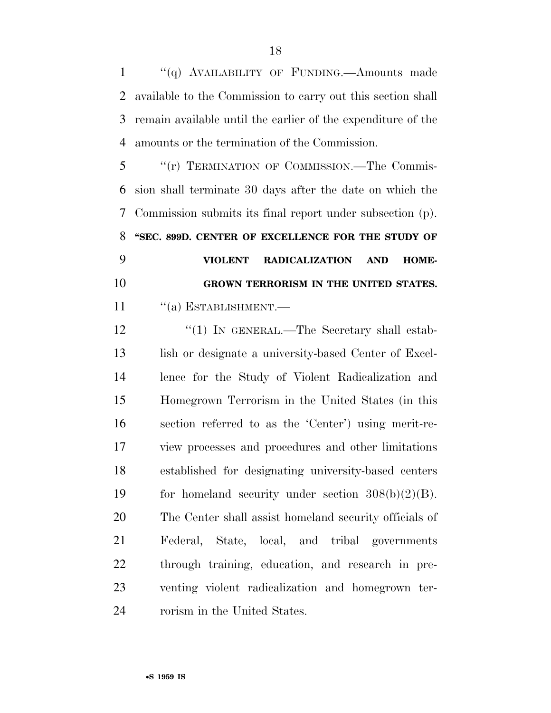1 "(q) AVAILABILITY OF FUNDING.—Amounts made available to the Commission to carry out this section shall remain available until the earlier of the expenditure of the amounts or the termination of the Commission.

 ''(r) TERMINATION OF COMMISSION.—The Commis- sion shall terminate 30 days after the date on which the Commission submits its final report under subsection (p). **''SEC. 899D. CENTER OF EXCELLENCE FOR THE STUDY OF VIOLENT RADICALIZATION AND HOME- GROWN TERRORISM IN THE UNITED STATES.**  11 "(a) ESTABLISHMENT.—

12 "(1) IN GENERAL.—The Secretary shall estab-13 lish or designate a university-based Center of Excel- lence for the Study of Violent Radicalization and Homegrown Terrorism in the United States (in this section referred to as the 'Center') using merit-re- view processes and procedures and other limitations established for designating university-based centers for homeland security under section 308(b)(2)(B). The Center shall assist homeland security officials of Federal, State, local, and tribal governments through training, education, and research in pre- venting violent radicalization and homegrown ter-rorism in the United States.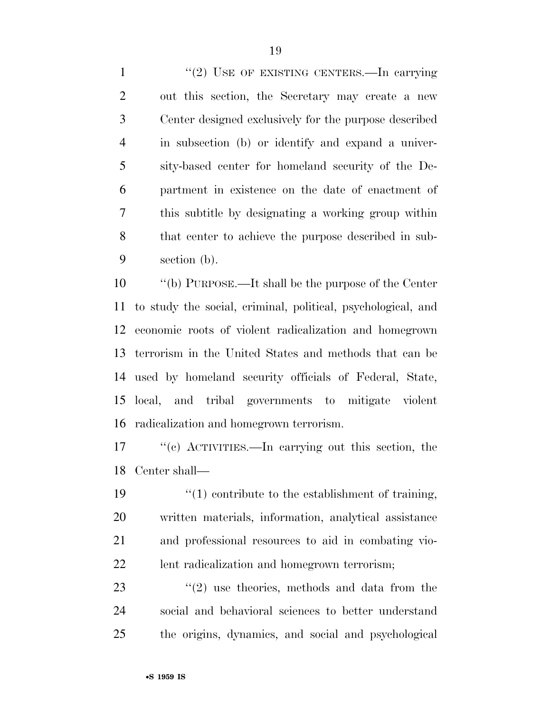1 "(2) USE OF EXISTING CENTERS.—In carrying out this section, the Secretary may create a new Center designed exclusively for the purpose described in subsection (b) or identify and expand a univer- sity-based center for homeland security of the De- partment in existence on the date of enactment of this subtitle by designating a working group within that center to achieve the purpose described in sub-section (b).

 ''(b) PURPOSE.—It shall be the purpose of the Center to study the social, criminal, political, psychological, and economic roots of violent radicalization and homegrown terrorism in the United States and methods that can be used by homeland security officials of Federal, State, local, and tribal governments to mitigate violent radicalization and homegrown terrorism.

 ''(c) ACTIVITIES.—In carrying out this section, the Center shall—

 $\frac{1}{2}$  (1) contribute to the establishment of training, written materials, information, analytical assistance and professional resources to aid in combating vio-lent radicalization and homegrown terrorism;

23  $(2)$  use theories, methods and data from the social and behavioral sciences to better understand the origins, dynamics, and social and psychological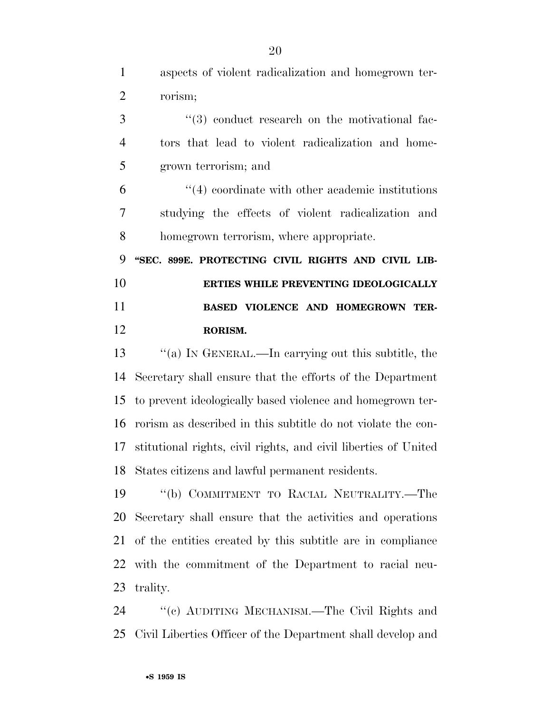aspects of violent radicalization and homegrown ter- rorism; 3 (3) conduct research on the motivational fac- tors that lead to violent radicalization and home- grown terrorism; and ''(4) coordinate with other academic institutions studying the effects of violent radicalization and

homegrown terrorism, where appropriate.

 **''SEC. 899E. PROTECTING CIVIL RIGHTS AND CIVIL LIB- ERTIES WHILE PREVENTING IDEOLOGICALLY BASED VIOLENCE AND HOMEGROWN TER-RORISM.** 

 ''(a) IN GENERAL.—In carrying out this subtitle, the Secretary shall ensure that the efforts of the Department to prevent ideologically based violence and homegrown ter- rorism as described in this subtitle do not violate the con- stitutional rights, civil rights, and civil liberties of United States citizens and lawful permanent residents.

 ''(b) COMMITMENT TO RACIAL NEUTRALITY.—The Secretary shall ensure that the activities and operations of the entities created by this subtitle are in compliance with the commitment of the Department to racial neu-trality.

 ''(c) AUDITING MECHANISM.—The Civil Rights and Civil Liberties Officer of the Department shall develop and